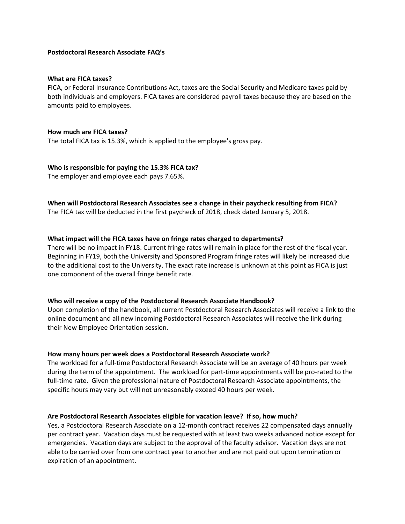### **Postdoctoral Research Associate FAQ's**

#### **What are FICA taxes?**

FICA, or Federal Insurance Contributions Act, taxes are the Social Security and Medicare taxes paid by both individuals and employers. FICA taxes are considered payroll taxes because they are based on the amounts paid to employees.

#### **How much are FICA taxes?**

The tota[l FICA tax](https://www.thebalance.com/how-do-i-calculate-the-amount-of-fica-tax-withholding-398709) is 15.3%, which is applied to the employee's gross pay.

**Who is responsible for paying the 15.3% FICA tax?** The employer and employee each pays 7.65%.

# **When will Postdoctoral Research Associates see a change in their paycheck resulting from FICA?**

The FICA tax will be deducted in the first paycheck of 2018, check dated January 5, 2018.

### **What impact will the FICA taxes have on fringe rates charged to departments?**

There will be no impact in FY18. Current fringe rates will remain in place for the rest of the fiscal year. Beginning in FY19, both the University and Sponsored Program fringe rates will likely be increased due to the additional cost to the University. The exact rate increase is unknown at this point as FICA is just one component of the overall fringe benefit rate.

#### **Who will receive a copy of the Postdoctoral Research Associate Handbook?**

Upon completion of the handbook, all current Postdoctoral Research Associates will receive a link to the online document and all new incoming Postdoctoral Research Associates will receive the link during their New Employee Orientation session.

#### **How many hours per week does a Postdoctoral Research Associate work?**

The workload for a full-time Postdoctoral Research Associate will be an average of 40 hours per week during the term of the appointment. The workload for part-time appointments will be pro-rated to the full-time rate. Given the professional nature of Postdoctoral Research Associate appointments, the specific hours may vary but will not unreasonably exceed 40 hours per week.

#### **Are Postdoctoral Research Associates eligible for vacation leave? If so, how much?**

Yes, a Postdoctoral Research Associate on a 12-month contract receives 22 compensated days annually per contract year. Vacation days must be requested with at least two weeks advanced notice except for emergencies. Vacation days are subject to the approval of the faculty advisor. Vacation days are not able to be carried over from one contract year to another and are not paid out upon termination or expiration of an appointment.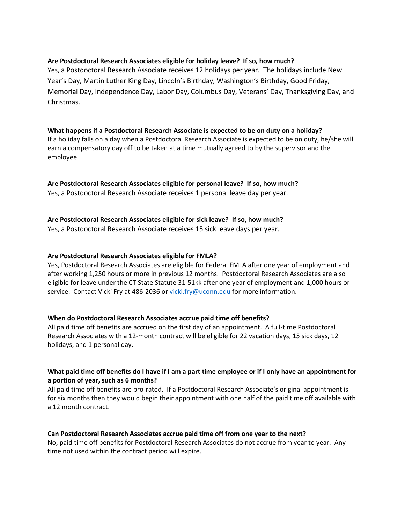## **Are Postdoctoral Research Associates eligible for holiday leave? If so, how much?**

Yes, a Postdoctoral Research Associate receives 12 holidays per year. The holidays include New Year's Day, Martin Luther King Day, Lincoln's Birthday, Washington's Birthday, Good Friday, Memorial Day, Independence Day, Labor Day, Columbus Day, Veterans' Day, Thanksgiving Day, and Christmas.

# **What happens if a Postdoctoral Research Associate is expected to be on duty on a holiday?**

If a holiday falls on a day when a Postdoctoral Research Associate is expected to be on duty, he/she will earn a compensatory day off to be taken at a time mutually agreed to by the supervisor and the employee.

## **Are Postdoctoral Research Associates eligible for personal leave? If so, how much?**

Yes, a Postdoctoral Research Associate receives 1 personal leave day per year.

## **Are Postdoctoral Research Associates eligible for sick leave? If so, how much?**

Yes, a Postdoctoral Research Associate receives 15 sick leave days per year.

### **Are Postdoctoral Research Associates eligible for FMLA?**

Yes, Postdoctoral Research Associates are eligible for Federal FMLA after one year of employment and after working 1,250 hours or more in previous 12 months. Postdoctoral Research Associates are also eligible for leave under the CT State Statute 31-51kk after one year of employment and 1,000 hours or service. Contact Vicki Fry at 486-2036 o[r vicki.fry@uconn.edu](mailto:vicki.fry@uconn.edu) for more information.

## **When do Postdoctoral Research Associates accrue paid time off benefits?**

All paid time off benefits are accrued on the first day of an appointment. A full-time Postdoctoral Research Associates with a 12-month contract will be eligible for 22 vacation days, 15 sick days, 12 holidays, and 1 personal day.

## **What paid time off benefits do I have if I am a part time employee or if I only have an appointment for a portion of year, such as 6 months?**

All paid time off benefits are pro-rated. If a Postdoctoral Research Associate's original appointment is for six months then they would begin their appointment with one half of the paid time off available with a 12 month contract.

#### **Can Postdoctoral Research Associates accrue paid time off from one year to the next?**

No, paid time off benefits for Postdoctoral Research Associates do not accrue from year to year. Any time not used within the contract period will expire.